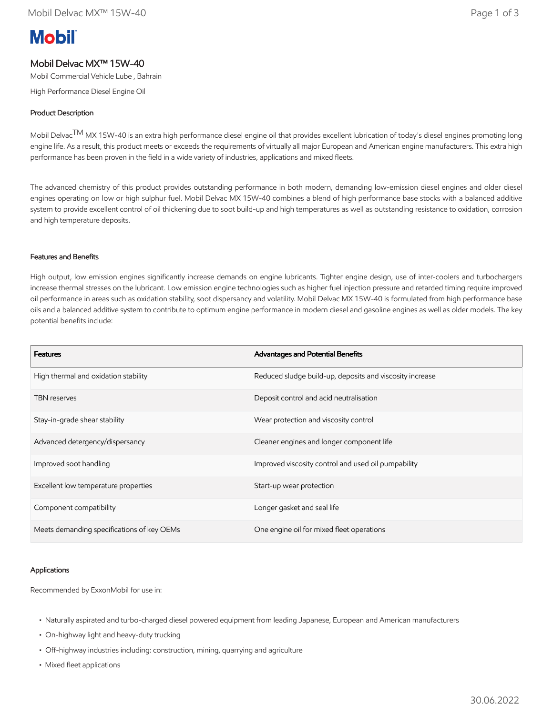# **Mobil**

# Mobil Delvac MX™ 15W-40

Mobil Commercial Vehicle Lube , Bahrain

High Performance Diesel Engine Oil

# Product Description

Mobil Delvac<sup>TM</sup> MX 15W-40 is an extra high performance diesel engine oil that provides excellent lubrication of today's diesel engines promoting long engine life. As a result, this product meets or exceeds the requirements of virtually all major European and American engine manufacturers. This extra high performance has been proven in the field in a wide variety of industries, applications and mixed fleets.

The advanced chemistry of this product provides outstanding performance in both modern, demanding low-emission diesel engines and older diesel engines operating on low or high sulphur fuel. Mobil Delvac MX 15W-40 combines a blend of high performance base stocks with a balanced additive system to provide excellent control of oil thickening due to soot build-up and high temperatures as well as outstanding resistance to oxidation, corrosion and high temperature deposits.

## Features and Benefits

High output, low emission engines significantly increase demands on engine lubricants. Tighter engine design, use of inter-coolers and turbochargers increase thermal stresses on the lubricant. Low emission engine technologies such as higher fuel injection pressure and retarded timing require improved oil performance in areas such as oxidation stability, soot dispersancy and volatility. Mobil Delvac MX 15W-40 is formulated from high performance base oils and a balanced additive system to contribute to optimum engine performance in modern diesel and gasoline engines as well as older models. The key potential benefits include:

| <b>Features</b>                            | Advantages and Potential Benefits                        |
|--------------------------------------------|----------------------------------------------------------|
| High thermal and oxidation stability       | Reduced sludge build-up, deposits and viscosity increase |
| <b>TBN</b> reserves                        | Deposit control and acid neutralisation                  |
| Stay-in-grade shear stability              | Wear protection and viscosity control                    |
| Advanced detergency/dispersancy            | Cleaner engines and longer component life                |
| Improved soot handling                     | Improved viscosity control and used oil pumpability      |
| Excellent low temperature properties       | Start-up wear protection                                 |
| Component compatibility                    | Longer gasket and seal life                              |
| Meets demanding specifications of key OEMs | One engine oil for mixed fleet operations                |

#### Applications

Recommended by ExxonMobil for use in:

- Naturally aspirated and turbo-charged diesel powered equipment from leading Japanese, European and American manufacturers
- On-highway light and heavy-duty trucking
- Off-highway industries including: construction, mining, quarrying and agriculture
- Mixed fleet applications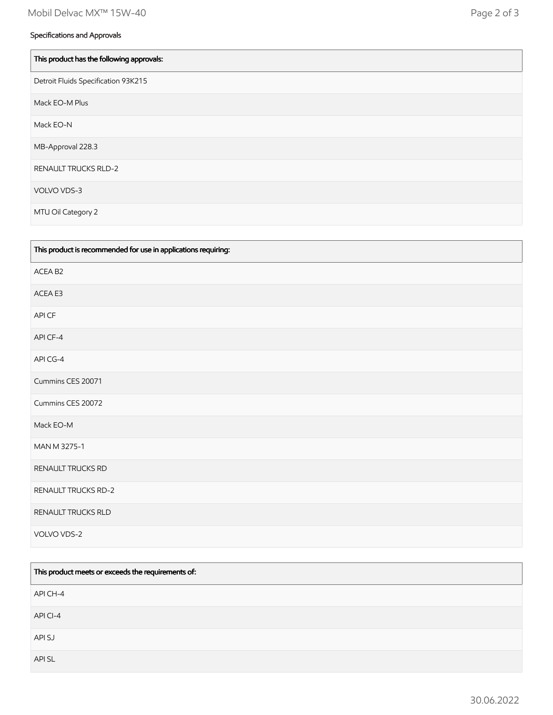| This product has the following approvals: |
|-------------------------------------------|
| Detroit Fluids Specification 93K215       |
| Mack EO-M Plus                            |
| Mack EO-N                                 |
| MB-Approval 228.3                         |
| <b>RENAULT TRUCKS RLD-2</b>               |
| VOLVO VDS-3                               |
| MTU Oil Category 2                        |

| This product is recommended for use in applications requiring: |
|----------------------------------------------------------------|
| ACEA B2                                                        |
| ACEA E3                                                        |
| API CF                                                         |
| API CF-4                                                       |
| API CG-4                                                       |
| Cummins CES 20071                                              |
| Cummins CES 20072                                              |
| Mack EO-M                                                      |
| MAN M 3275-1                                                   |
| RENAULT TRUCKS RD                                              |
| <b>RENAULT TRUCKS RD-2</b>                                     |
| RENAULT TRUCKS RLD                                             |
| VOLVO VDS-2                                                    |

| This product meets or exceeds the requirements of: |
|----------------------------------------------------|
| API CH-4                                           |
| API CI-4                                           |
| API SJ                                             |
| API SL                                             |